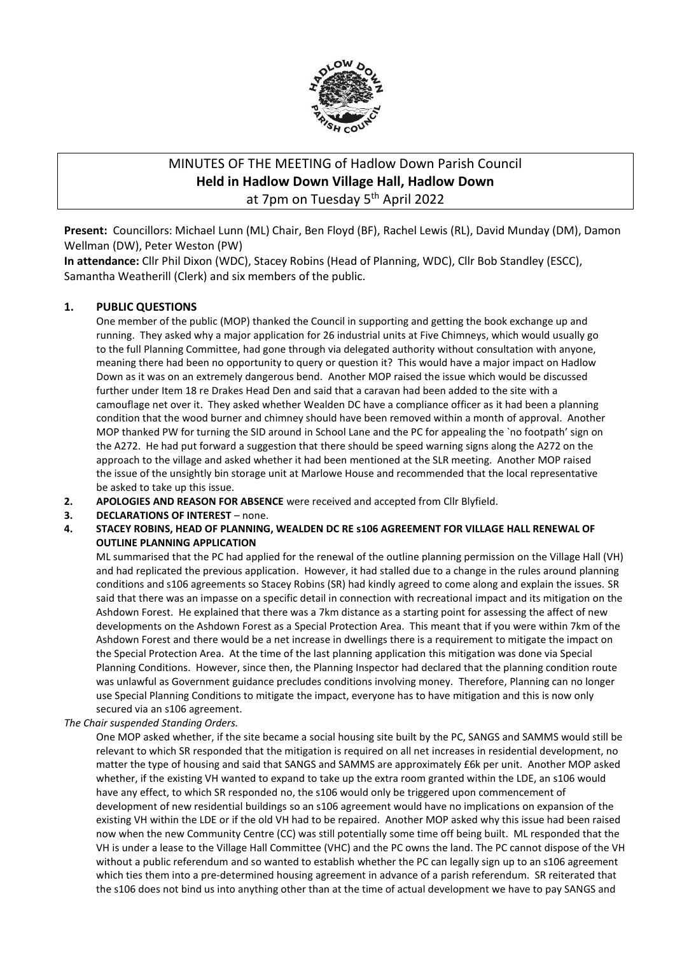

# MINUTES OF THE MEETING of Hadlow Down Parish Council **Held in Hadlow Down Village Hall, Hadlow Down** at 7pm on Tuesday 5<sup>th</sup> April 2022

**Present:** Councillors: Michael Lunn (ML) Chair, Ben Floyd (BF), Rachel Lewis (RL), David Munday (DM), Damon Wellman (DW), Peter Weston (PW)

**In attendance:** Cllr Phil Dixon (WDC), Stacey Robins (Head of Planning, WDC), Cllr Bob Standley (ESCC), Samantha Weatherill (Clerk) and six members of the public.

#### **1. PUBLIC QUESTIONS**

One member of the public (MOP) thanked the Council in supporting and getting the book exchange up and running. They asked why a major application for 26 industrial units at Five Chimneys, which would usually go to the full Planning Committee, had gone through via delegated authority without consultation with anyone, meaning there had been no opportunity to query or question it? This would have a major impact on Hadlow Down as it was on an extremely dangerous bend. Another MOP raised the issue which would be discussed further under Item 18 re Drakes Head Den and said that a caravan had been added to the site with a camouflage net over it. They asked whether Wealden DC have a compliance officer as it had been a planning condition that the wood burner and chimney should have been removed within a month of approval. Another MOP thanked PW for turning the SID around in School Lane and the PC for appealing the `no footpath' sign on the A272. He had put forward a suggestion that there should be speed warning signs along the A272 on the approach to the village and asked whether it had been mentioned at the SLR meeting. Another MOP raised the issue of the unsightly bin storage unit at Marlowe House and recommended that the local representative be asked to take up this issue.

- **2. APOLOGIES AND REASON FOR ABSENCE** were received and accepted from Cllr Blyfield.
- **3. DECLARATIONS OF INTEREST** none.
- **4. STACEY ROBINS, HEAD OF PLANNING, WEALDEN DC RE s106 AGREEMENT FOR VILLAGE HALL RENEWAL OF OUTLINE PLANNING APPLICATION**

ML summarised that the PC had applied for the renewal of the outline planning permission on the Village Hall (VH) and had replicated the previous application. However, it had stalled due to a change in the rules around planning conditions and s106 agreements so Stacey Robins (SR) had kindly agreed to come along and explain the issues. SR said that there was an impasse on a specific detail in connection with recreational impact and its mitigation on the Ashdown Forest. He explained that there was a 7km distance as a starting point for assessing the affect of new developments on the Ashdown Forest as a Special Protection Area. This meant that if you were within 7km of the Ashdown Forest and there would be a net increase in dwellings there is a requirement to mitigate the impact on the Special Protection Area. At the time of the last planning application this mitigation was done via Special Planning Conditions. However, since then, the Planning Inspector had declared that the planning condition route was unlawful as Government guidance precludes conditions involving money. Therefore, Planning can no longer use Special Planning Conditions to mitigate the impact, everyone has to have mitigation and this is now only secured via an s106 agreement.

*The Chair suspended Standing Orders.*

One MOP asked whether, if the site became a social housing site built by the PC, SANGS and SAMMS would still be relevant to which SR responded that the mitigation is required on all net increases in residential development, no matter the type of housing and said that SANGS and SAMMS are approximately £6k per unit. Another MOP asked whether, if the existing VH wanted to expand to take up the extra room granted within the LDE, an s106 would have any effect, to which SR responded no, the s106 would only be triggered upon commencement of development of new residential buildings so an s106 agreement would have no implications on expansion of the existing VH within the LDE or if the old VH had to be repaired. Another MOP asked why this issue had been raised now when the new Community Centre (CC) was still potentially some time off being built. ML responded that the VH is under a lease to the Village Hall Committee (VHC) and the PC owns the land. The PC cannot dispose of the VH without a public referendum and so wanted to establish whether the PC can legally sign up to an s106 agreement which ties them into a pre-determined housing agreement in advance of a parish referendum. SR reiterated that the s106 does not bind us into anything other than at the time of actual development we have to pay SANGS and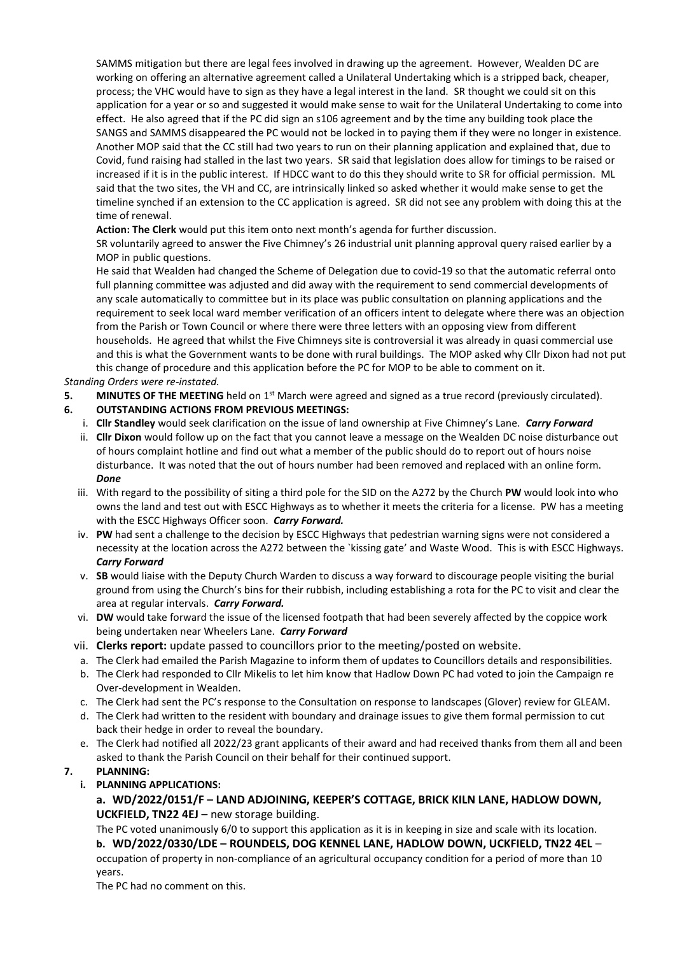SAMMS mitigation but there are legal fees involved in drawing up the agreement. However, Wealden DC are working on offering an alternative agreement called a Unilateral Undertaking which is a stripped back, cheaper, process; the VHC would have to sign as they have a legal interest in the land. SR thought we could sit on this application for a year or so and suggested it would make sense to wait for the Unilateral Undertaking to come into effect. He also agreed that if the PC did sign an s106 agreement and by the time any building took place the SANGS and SAMMS disappeared the PC would not be locked in to paying them if they were no longer in existence. Another MOP said that the CC still had two years to run on their planning application and explained that, due to Covid, fund raising had stalled in the last two years. SR said that legislation does allow for timings to be raised or increased if it is in the public interest. If HDCC want to do this they should write to SR for official permission. ML said that the two sites, the VH and CC, are intrinsically linked so asked whether it would make sense to get the timeline synched if an extension to the CC application is agreed. SR did not see any problem with doing this at the time of renewal.

**Action: The Clerk** would put this item onto next month's agenda for further discussion.

SR voluntarily agreed to answer the Five Chimney's 26 industrial unit planning approval query raised earlier by a MOP in public questions.

He said that Wealden had changed the Scheme of Delegation due to covid-19 so that the automatic referral onto full planning committee was adjusted and did away with the requirement to send commercial developments of any scale automatically to committee but in its place was public consultation on planning applications and the requirement to seek local ward member verification of an officers intent to delegate where there was an objection from the Parish or Town Council or where there were three letters with an opposing view from different households. He agreed that whilst the Five Chimneys site is controversial it was already in quasi commercial use and this is what the Government wants to be done with rural buildings. The MOP asked why Cllr Dixon had not put this change of procedure and this application before the PC for MOP to be able to comment on it.

#### *Standing Orders were re-instated.*

- **5. MINUTES OF THE MEETING** held on 1<sup>st</sup> March were agreed and signed as a true record (previously circulated).
- **6. OUTSTANDING ACTIONS FROM PREVIOUS MEETINGS:**
	- i. **Cllr Standley** would seek clarification on the issue of land ownership at Five Chimney's Lane. *Carry Forward*
	- ii. **Cllr Dixon** would follow up on the fact that you cannot leave a message on the Wealden DC noise disturbance out of hours complaint hotline and find out what a member of the public should do to report out of hours noise disturbance. It was noted that the out of hours number had been removed and replaced with an online form. *Done*
	- iii. With regard to the possibility of siting a third pole for the SID on the A272 by the Church **PW** would look into who owns the land and test out with ESCC Highways as to whether it meets the criteria for a license. PW has a meeting with the ESCC Highways Officer soon. *Carry Forward.*
	- iv. **PW** had sent a challenge to the decision by ESCC Highways that pedestrian warning signs were not considered a necessity at the location across the A272 between the `kissing gate' and Waste Wood. This is with ESCC Highways. *Carry Forward*
	- v. **SB** would liaise with the Deputy Church Warden to discuss a way forward to discourage people visiting the burial ground from using the Church's bins for their rubbish, including establishing a rota for the PC to visit and clear the area at regular intervals. *Carry Forward.*
	- vi. **DW** would take forward the issue of the licensed footpath that had been severely affected by the coppice work being undertaken near Wheelers Lane. *Carry Forward*
	- vii. **Clerks report:** update passed to councillors prior to the meeting/posted on website.
	- a. The Clerk had emailed the Parish Magazine to inform them of updates to Councillors details and responsibilities.
	- b. The Clerk had responded to Cllr Mikelis to let him know that Hadlow Down PC had voted to join the Campaign re Over-development in Wealden.
	- c. The Clerk had sent the PC's response to the Consultation on response to landscapes (Glover) review for GLEAM.
	- d. The Clerk had written to the resident with boundary and drainage issues to give them formal permission to cut back their hedge in order to reveal the boundary.
	- e. The Clerk had notified all 2022/23 grant applicants of their award and had received thanks from them all and been asked to thank the Parish Council on their behalf for their continued support.

#### **7. PLANNING:**

- **i. PLANNING APPLICATIONS:**
	- **a. WD/2022/0151/F – LAND ADJOINING, KEEPER'S COTTAGE, BRICK KILN LANE, HADLOW DOWN, UCKFIELD, TN22 4EJ** – new storage building.

The PC voted unanimously 6/0 to support this application as it is in keeping in size and scale with its location. **b. WD/2022/0330/LDE – ROUNDELS, DOG KENNEL LANE, HADLOW DOWN, UCKFIELD, TN22 4EL** – occupation of property in non-compliance of an agricultural occupancy condition for a period of more than 10 years.

The PC had no comment on this.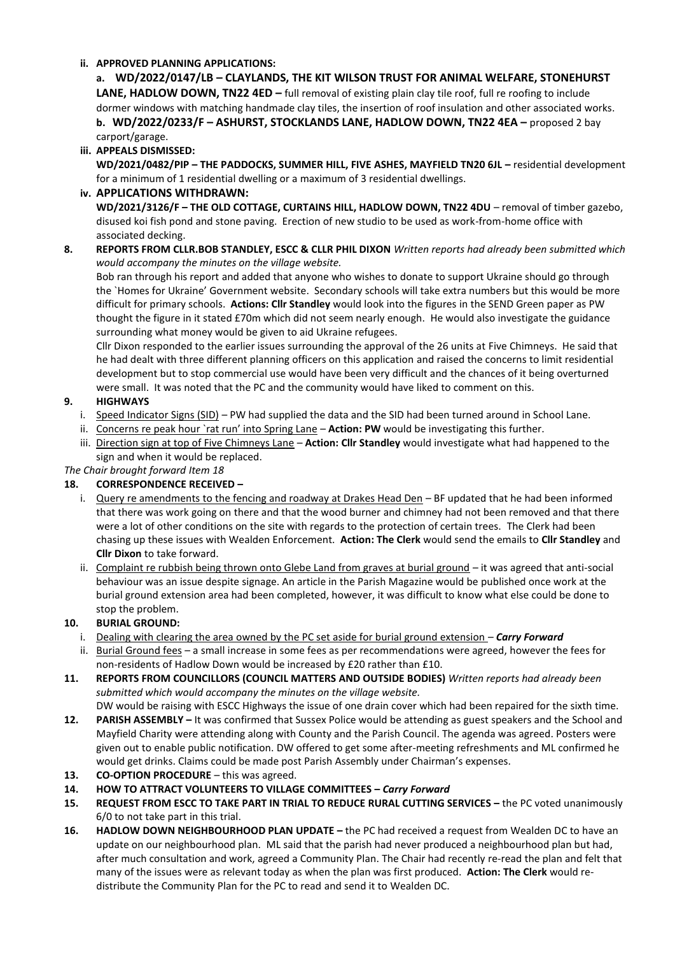#### **ii. APPROVED PLANNING APPLICATIONS:**

**a. WD/2022/0147/LB – CLAYLANDS, THE KIT WILSON TRUST FOR ANIMAL WELFARE, STONEHURST LANE, HADLOW DOWN, TN22 4ED** – full removal of existing plain clay tile roof, full re roofing to include dormer windows with matching handmade clay tiles, the insertion of roof insulation and other associated works. **b. WD/2022/0233/F – ASHURST, STOCKLANDS LANE, HADLOW DOWN, TN22 4EA –** proposed 2 bay carport/garage.

# **iii. APPEALS DISMISSED:**

**WD/2021/0482/PIP – THE PADDOCKS, SUMMER HILL, FIVE ASHES, MAYFIELD TN20 6JL –** residential development for a minimum of 1 residential dwelling or a maximum of 3 residential dwellings.

#### **iv. APPLICATIONS WITHDRAWN:**

**WD/2021/3126/F – THE OLD COTTAGE, CURTAINS HILL, HADLOW DOWN, TN22 4DU** – removal of timber gazebo, disused koi fish pond and stone paving. Erection of new studio to be used as work-from-home office with associated decking.

#### **8. REPORTS FROM CLLR.BOB STANDLEY, ESCC & CLLR PHIL DIXON** *Written reports had already been submitted which would accompany the minutes on the village website.*

Bob ran through his report and added that anyone who wishes to donate to support Ukraine should go through the `Homes for Ukraine' Government website. Secondary schools will take extra numbers but this would be more difficult for primary schools. **Actions: Cllr Standley** would look into the figures in the SEND Green paper as PW thought the figure in it stated £70m which did not seem nearly enough. He would also investigate the guidance surrounding what money would be given to aid Ukraine refugees.

Cllr Dixon responded to the earlier issues surrounding the approval of the 26 units at Five Chimneys. He said that he had dealt with three different planning officers on this application and raised the concerns to limit residential development but to stop commercial use would have been very difficult and the chances of it being overturned were small. It was noted that the PC and the community would have liked to comment on this.

# **9. HIGHWAYS**

- i. Speed Indicator Signs (SID) PW had supplied the data and the SID had been turned around in School Lane.
- ii. Concerns re peak hour `rat run' into Spring Lane **Action: PW** would be investigating this further.
- iii. Direction sign at top of Five Chimneys Lane **Action: Cllr Standley** would investigate what had happened to the sign and when it would be replaced.

#### *The Chair brought forward Item 18*

# **18. CORRESPONDENCE RECEIVED –**

- i. Query re amendments to the fencing and roadway at Drakes Head Den BF updated that he had been informed that there was work going on there and that the wood burner and chimney had not been removed and that there were a lot of other conditions on the site with regards to the protection of certain trees. The Clerk had been chasing up these issues with Wealden Enforcement. **Action: The Clerk** would send the emails to **Cllr Standley** and **Cllr Dixon** to take forward.
- ii. Complaint re rubbish being thrown onto Glebe Land from graves at burial ground it was agreed that anti-social behaviour was an issue despite signage. An article in the Parish Magazine would be published once work at the burial ground extension area had been completed, however, it was difficult to know what else could be done to stop the problem.

# **10. BURIAL GROUND:**

- i. Dealing with clearing the area owned by the PC set aside for burial ground extension *Carry Forward*
- ii. Burial Ground fees a small increase in some fees as per recommendations were agreed, however the fees for non-residents of Hadlow Down would be increased by £20 rather than £10.
- **11. REPORTS FROM COUNCILLORS (COUNCIL MATTERS AND OUTSIDE BODIES)** *Written reports had already been submitted which would accompany the minutes on the village website.*
- DW would be raising with ESCC Highways the issue of one drain cover which had been repaired for the sixth time. **12. PARISH ASSEMBLY –** It was confirmed that Sussex Police would be attending as guest speakers and the School and Mayfield Charity were attending along with County and the Parish Council. The agenda was agreed. Posters were given out to enable public notification. DW offered to get some after-meeting refreshments and ML confirmed he would get drinks. Claims could be made post Parish Assembly under Chairman's expenses.
- 13. **CO-OPTION PROCEDURE** this was agreed.
- **14. HOW TO ATTRACT VOLUNTEERS TO VILLAGE COMMITTEES –** *Carry Forward*
- **15. REQUEST FROM ESCC TO TAKE PART IN TRIAL TO REDUCE RURAL CUTTING SERVICES –** the PC voted unanimously 6/0 to not take part in this trial.
- **16. HADLOW DOWN NEIGHBOURHOOD PLAN UPDATE –** the PC had received a request from Wealden DC to have an update on our neighbourhood plan. ML said that the parish had never produced a neighbourhood plan but had, after much consultation and work, agreed a Community Plan. The Chair had recently re-read the plan and felt that many of the issues were as relevant today as when the plan was first produced. **Action: The Clerk** would redistribute the Community Plan for the PC to read and send it to Wealden DC.